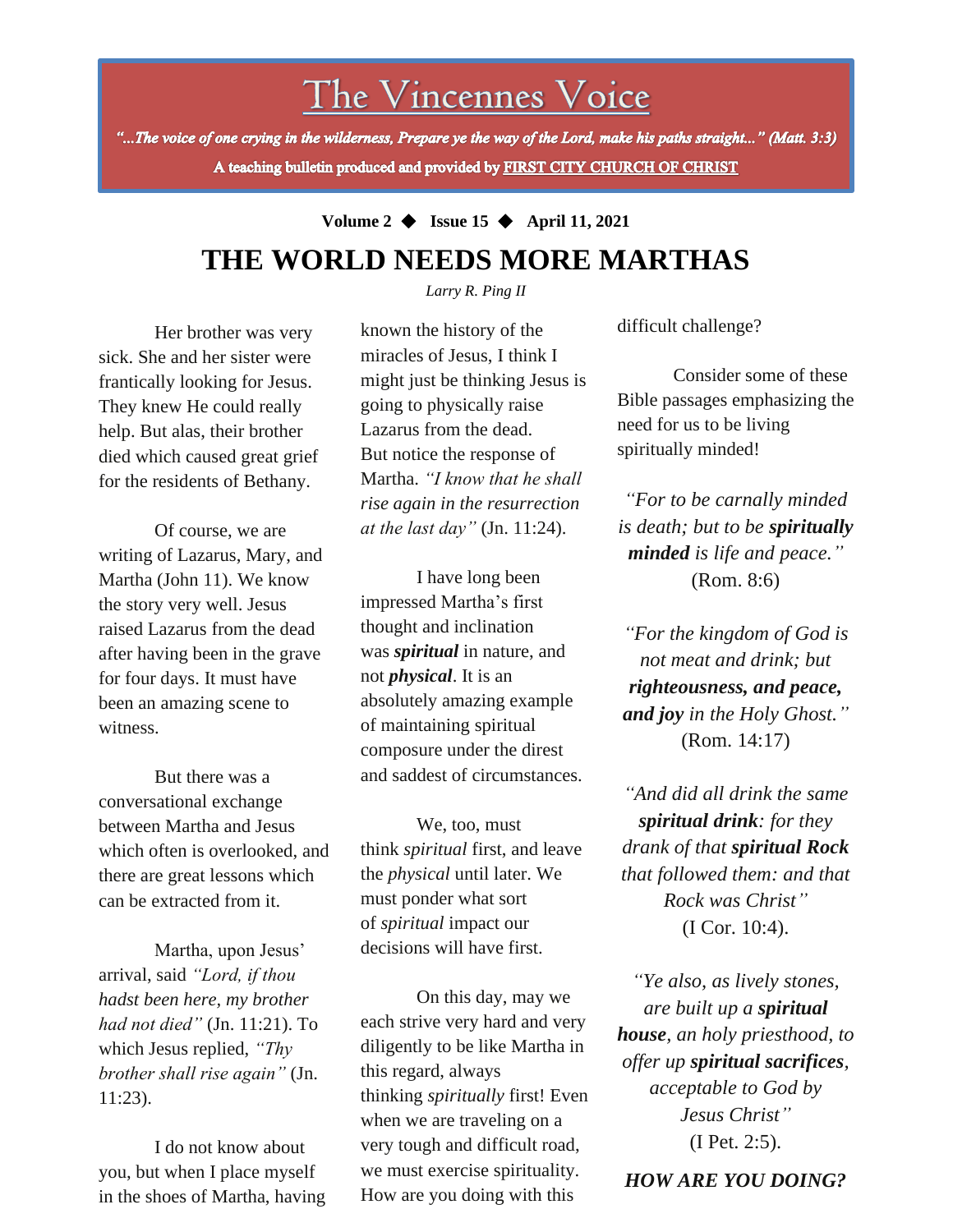# The Vincennes Voice

"...The voice of one crying in the wilderness, Prepare ye the way of the Lord, make his paths straight..." (Matt. 3:3) A teaching bulletin produced and provided by FIRST CITY CHURCH OF CHRIST

# **Volume 2** ◆ **Issue 15** ◆ **April 11, 2021**

### **THE WORLD NEEDS MORE MARTHAS** *Larry R. Ping II*

Her brother was very sick. She and her sister were frantically looking for Jesus. They knew He could really help. But alas, their brother died which caused great grief for the residents of Bethany.

Of course, we are writing of Lazarus, Mary, and Martha (John 11). We know the story very well. Jesus raised Lazarus from the dead after having been in the grave for four days. It must have been an amazing scene to witness.

But there was a conversational exchange between Martha and Jesus which often is overlooked, and there are great lessons which can be extracted from it.

*brother shall rise again"* (Jn. Martha, upon Jesus' arrival, said *"Lord, if thou hadst been here, my brother had not died"* (Jn. 11:21). To which Jesus replied, *"Thy*  11:23).

I do not know about you, but when I place myself in the shoes of Martha, having known the history of the miracles of Jesus, I think I might just be thinking Jesus is going to physically raise Lazarus from the dead. But notice the response of Martha. *"I know that he shall rise again in the resurrection at the last day"* (Jn. 11:24).

I have long been impressed Martha's first thought and inclination was *spiritual* in nature, and not *physical*. It is an absolutely amazing example of maintaining spiritual composure under the direst and saddest of circumstances.

We, too, must think *spiritual* first, and leave the *physical* until later. We must ponder what sort of *spiritual* impact our decisions will have first.

On this day, may we each strive very hard and very diligently to be like Martha in this regard, always thinking *spiritually* first! Even when we are traveling on a very tough and difficult road, we must exercise spirituality. How are you doing with this

difficult challenge?

Consider some of these Bible passages emphasizing the need for us to be living spiritually minded!

*"For to be carnally minded is death; but to be spiritually minded is life and peace."* (Rom. 8:6)

*"For the kingdom of God is not meat and drink; but righteousness, and peace, and joy in the Holy Ghost."* (Rom. 14:17)

*"And did all drink the same spiritual drink: for they drank of that spiritual Rock that followed them: and that Rock was Christ"* (I Cor. 10:4).

*"Ye also, as lively stones, are built up a spiritual house, an holy priesthood, to offer up spiritual sacrifices, acceptable to God by Jesus Christ"* (I Pet. 2:5).

*HOW ARE YOU DOING?*